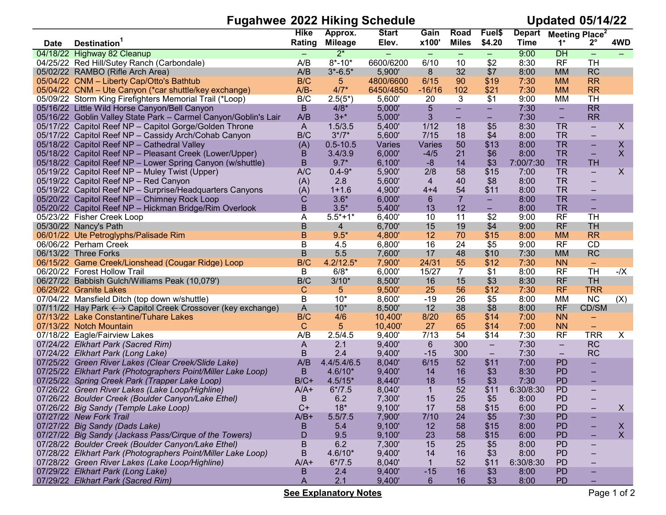## Fugahwee 2022 Hiking Schedule

**Updated 05/14/22** 

|             |                                                                 | <b>Hike</b>  | Approx.        | <b>Start</b> | Gain                     | Road           | Fuel\$                   | <b>Depart</b>     | <b>Meeting Place</b> <sup>2</sup> |                                |                  |
|-------------|-----------------------------------------------------------------|--------------|----------------|--------------|--------------------------|----------------|--------------------------|-------------------|-----------------------------------|--------------------------------|------------------|
| <b>Date</b> | <b>Destination</b>                                              | Rating       | <b>Mileage</b> | Elev.        | x100'                    | <b>Miles</b>   | \$4.20                   | <b>Time</b>       | 1°                                | $2^{\circ}$                    | 4WD              |
|             | 04/18/22 Highway 82 Cleanup                                     | $\equiv$     | $2^*$          |              | $\overline{\phantom{m}}$ | $\equiv$       | $\equiv$                 | 9:00              | DH                                | $\equiv$                       | ÷.               |
|             | 04/25/22 Red Hill/Sutey Ranch (Carbondale)                      | A/B          | $8* - 10*$     | 6600/6200    | 6/10                     | 10             | \$2                      | 8:30              | <b>RF</b>                         | <b>TH</b>                      |                  |
|             | 05/02/22 RAMBO (Rifle Arch Area)                                | A/B          | $3* - 6.5*$    | 5,900'       | 8                        | 32             | \$7                      | 8:00              | <b>MM</b>                         | RC                             |                  |
|             | 05/04/22 CNM - Liberty Cap/Otto's Bathtub                       | B/C          | $\overline{5}$ | 4800/6600    | 6/15                     | 90             | \$19                     | 7:30              | <b>MM</b>                         | <b>RR</b>                      |                  |
|             | 05/04/22 CNM - Ute Canyon (*car shuttle/key exchange)           | $A/B-$       | $4/7*$         | 6450/4850    | $-16/16$                 | 102            | \$21                     | 7:30              | <b>MM</b>                         | <b>RR</b>                      |                  |
|             | 05/09/22 Storm King Firefighters Memorial Trail (*Loop)         | B/C          | $2.5(5^{*})$   | 5,600'       | 20                       | 3              | \$1                      | 9:00              | МM                                | <b>TH</b>                      |                  |
|             | 05/16/22 Little Wild Horse Canyon/Bell Canyon                   | B            | $4/8*$         | 5,000'       | $\overline{5}$           | $\equiv$       | $\equiv$                 | 7:30              | $\equiv$                          | <b>RR</b>                      |                  |
|             | 05/16/22 Goblin Valley State Park - Carmel Canyon/Goblin's Lair | A/B          | $3+$ *         | 5,000'       | $\mathfrak{S}$           |                | -                        | 7:30              | $\qquad \qquad =$                 | <b>RR</b>                      |                  |
|             | 05/17/22 Capitol Reef NP - Capitol Gorge/Golden Throne          | A            | 1.5/3.5        | 5,400'       | 1/12                     | 18             | \$5                      | 8:30              | <b>TR</b>                         | $\equiv$                       | X                |
|             | 05/17/22 Capitol Reef NP - Cassidy Arch/Cohab Canyon            | B/C          | $3*/7*$        | 5,600'       | 7/15                     | 18             | \$4                      | 8:00              | <b>TR</b>                         | $\qquad \qquad =$              |                  |
|             | 05/18/22 Capitol Reef NP - Cathedral Valley                     | (A)          | $0.5 - 10.5$   | Varies       | Varies                   | 50             | \$13                     | 8:00              | <b>TR</b>                         | $\equiv$                       | X                |
|             | 05/18/22 Capitol Reef NP - Pleasant Creek (Lower/Upper)         | B            | 3.4/3.9        | 6,000'       | $-4/5$                   | 21             | \$6                      | 8:00              | <b>TR</b>                         | $\equiv$                       | $\mathsf{X}$     |
|             | 05/18/22 Capitol Reef NP - Lower Spring Canyon (w/shuttle)      | B            | $9.7*$         | 6,100'       | $-8$                     | 14             | \$3                      | 7:00/7:30         | <b>TR</b>                         | <b>TH</b>                      |                  |
|             | 05/19/22 Capitol Reef NP - Muley Twist (Upper)                  | A/C          | $0.4 - 9*$     | 5,900'       | 2/8                      | 58             | \$15                     | 7:00              | <b>TR</b>                         | $\equiv$                       | X                |
|             | 05/19/22 Capitol Reef NP - Red Canyon                           | (A)          | 2.8            | 5,600'       | $\overline{4}$           | 40             | \$8                      | 8:00              | <b>TR</b>                         | $\equiv$                       |                  |
|             | 05/19/22 Capitol Reef NP - Surprise/Headquarters Canyons        | (A)          | $1 + 1.6$      | 4,900'       | $4 + 4$                  | 54             | \$11                     | 8:00              | <b>TR</b>                         | $\equiv$                       |                  |
|             | 05/20/22 Capitol Reef NP - Chimney Rock Loop                    | С            | $3.6*$         | 6,000'       | 6                        | $\overline{7}$ | $\equiv$                 | 8:00              | <b>TR</b>                         | -                              |                  |
|             | 05/20/22 Capitol Reef NP - Hickman Bridge/Rim Overlook          | в            | $3.5*$         | 5,400'       | 13                       | 12             | -                        | 8:00              | <b>TR</b>                         | $\equiv$                       |                  |
|             | 05/23/22 Fisher Creek Loop                                      | A            | $5.5*+1*$      | 6,400'       | 10                       | 11             | $\overline{$}2$          | 9:00              | RF                                | TH                             |                  |
|             | 05/30/22 Nancy's Path                                           | B            | 4              | 6,700'       | 15                       | 19             | \$4                      | 9:00              | <b>RF</b>                         | <b>TH</b>                      |                  |
|             | 06/01/22 Ute Petroglyphs/Palisade Rim                           | B            | $9.5*$         | 4,800'       | 12                       | 70             | \$15                     | 8:00              | <b>MM</b>                         | <b>RR</b>                      |                  |
|             | 06/06/22 Perham Creek                                           | B            | 4.5            | 6,800'       | 16                       | 24             | \$5                      | 9:00              | <b>RF</b>                         | <b>CD</b>                      |                  |
|             | 06/13/22 Three Forks                                            | $\sf B$      | 5.5            | 7,600'       | 17                       | 48             | \$10                     | 7:30              | <b>MM</b>                         | RC                             |                  |
|             | 06/15/22 Game Creek/Lionshead (Cougar Ridge) Loop               | B/C          | $4.2/12.5*$    | 7,900'       | 24/31                    | 55             | \$12                     | 7:30              | <b>NN</b>                         | $\overline{\phantom{m}}$       |                  |
|             | 06/20/22 Forest Hollow Trail                                    | B            | $6/8*$         | 6,000'       | 15/27                    | $\overline{7}$ | \$1                      | 8:00              | <b>RF</b>                         | <b>TH</b>                      | $-1$ $\times$    |
|             | 06/27/22 Babbish Gulch/Williams Peak (10,079')                  | B/C          | $3/10*$        | 8,500'       | 16                       | 15             | \$3                      | 8:30              | <b>RF</b>                         | <b>TH</b>                      |                  |
|             | 06/29/22 Granite Lakes                                          | C            | 5              | 9,500'       | 25                       | 56             | \$12                     | 7:30              | <b>RF</b>                         | <b>TRR</b>                     |                  |
|             | 07/04/22 Mansfield Ditch (top down w/shuttle)                   | В            | $10*$          | 8,600'       | $-19$                    | 26             | \$5                      | 8:00              | <b>MM</b>                         | NC                             | (X)              |
|             | 07/11/22 Hay Park ← > Capitol Creek Crossover (key exchange)    | A            | $10*$          | 8,500'       | 12                       | 38             | \$8                      | 8:00              | <b>RF</b>                         | CD/SM                          |                  |
|             | 07/13/22 Lake Constantine/Tuhare Lakes                          | B/C          | 4/6            | 10,400'      | 8/20                     | 65             | \$14                     | 7:00              | <b>NN</b>                         | $\overline{\phantom{m}}$       |                  |
|             | 07/13/22 Notch Mountain                                         | $\mathsf{C}$ | 5              | 10,400'      | 27                       | 65             | \$14                     | 7:00              | <b>NN</b>                         | $\overline{\phantom{m}}$       |                  |
|             | 07/18/22 Eagle/Fairview Lakes                                   | A/B          | 2.5/4.5        | 9,400'       | 7/13                     | 54             | \$14                     | 7:30              | <b>RF</b>                         | <b>TRR</b>                     | X                |
|             | 07/24/22 Elkhart Park (Sacred Rim)                              | A            | 2.1            | 9,400'       | 6                        | 300            | $\overline{\phantom{m}}$ | 7:30              | $\overline{\phantom{m}}$          | RC                             |                  |
|             | 07/24/22 Elkhart Park (Long Lake)                               | B            | 2.4            | 9,400'       | $-15$                    | 300            | $\equiv$                 | 7:30              | $\equiv$                          | <b>RC</b>                      |                  |
|             | 07/25/22 Green River Lakes (Clear Creek/Slide Lake)             | A/B          | 4.4/5.4/6.5    | 8,040'       | 6/15                     | 52             | \$11                     | 7:00              | <b>PD</b>                         | $\equiv$                       |                  |
|             | 07/25/22 Elkhart Park (Photographers Point/Miller Lake Loop)    | B            | $4.6/10*$      | 9,400'       | 14                       | 16             | \$3                      | 8:30              | <b>PD</b>                         | $\equiv$                       |                  |
|             | 07/25/22 Spring Creek Park (Trapper Lake Loop)                  | $B/C+$       | $4.5/15*$      | 8,440'       | 18                       | 15             | \$3                      | 7:30              | <b>PD</b>                         | $\qquad \qquad \longleftarrow$ |                  |
|             | 07/26/22 Green River Lakes (Lake Loop/Highline)                 | $A/A+$       | $6*/7.5$       | 8,040'       | $\mathbf{1}$             | 52             | \$11                     | 6:30/8:30         | PD                                | $\qquad \qquad =$              |                  |
|             | 07/26/22 Boulder Creek (Boulder Canyon/Lake Ethel)              | B            | 6.2            | 7,300'       | 15                       | 25             | \$5                      | 8:00              | <b>PD</b>                         |                                |                  |
|             | 07/26/22 Big Sandy (Temple Lake Loop)                           | $C+$         | $18*$          | 9,100'       | 17                       | 58             | \$15                     | 6:00              | <b>PD</b>                         |                                | X.               |
|             | 07/27/22 New Fork Trail                                         | $A/B+$       | 5.5/7.5        | 7,900'       | 7/10                     | 24             | \$5                      | 7:30              | <b>PD</b>                         | ÷                              |                  |
|             | 07/27/22 Big Sandy (Dads Lake)                                  | в            | 5.4            | 9,100'       | 12                       | 58             | \$15                     | 8:00              | <b>PD</b>                         |                                | $\boldsymbol{X}$ |
|             | 07/27/22 Big Sandy (Jackass Pass/Cirque of the Towers)          | D            | 9.5            | 9,100'       | 23                       | 58             | \$15                     | 6:00              | <b>PD</b>                         |                                | X                |
|             | 07/28/22 Boulder Creek (Boulder Canyon/Lake Ethel)              | B            | 6.2            | 7,300'       | 15                       | 25             | \$5                      | 8:00              | PD                                |                                |                  |
|             |                                                                 |              | $4.6/10*$      |              |                          |                | \$3                      |                   | <b>PD</b>                         |                                |                  |
|             | 07/28/22 Elkhart Park (Photographers Point/Miller Lake Loop)    | B            |                | 9,400'       | 14                       | 16             |                          | 8:00<br>6:30/8:30 |                                   |                                |                  |
|             | 07/28/22 Green River Lakes (Lake Loop/Highline)                 | $A/A+$       | $6*/7.5$       | 8,040'       | 1                        | 52             | \$11                     |                   | <b>PD</b>                         |                                |                  |
|             | 07/29/22 Elkhart Park (Long Lake)                               | B            | 2.4            | 9,400'       | $-15$                    | 16             | \$3                      | 8:00              | <b>PD</b>                         |                                |                  |
|             | 07/29/22 Elkhart Park (Sacred Rim)                              | A            | 2.1            | 9,400'       | 6                        | 16             | \$3                      | 8:00              | <b>PD</b>                         |                                |                  |